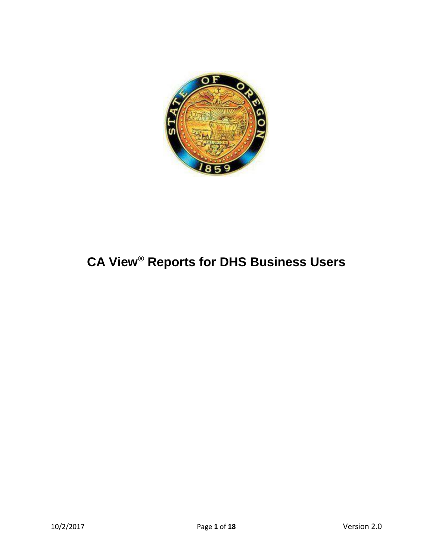

# **CA View® Reports for DHS Business Users**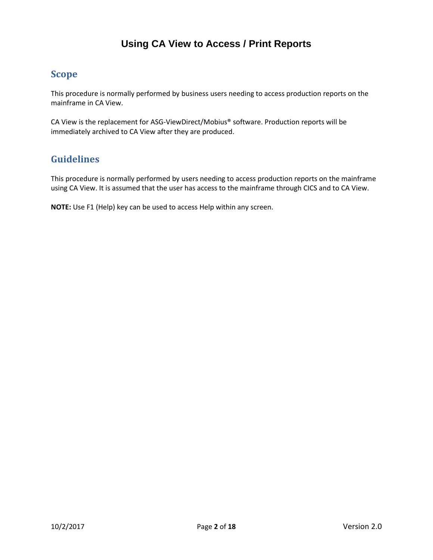# **Using CA View to Access / Print Reports**

## <span id="page-1-0"></span>**Scope**

This procedure is normally performed by business users needing to access production reports on the mainframe in CA View.

CA View is the replacement for ASG-ViewDirect/Mobius® software. Production reports will be immediately archived to CA View after they are produced.

# <span id="page-1-1"></span>**Guidelines**

This procedure is normally performed by users needing to access production reports on the mainframe using CA View. It is assumed that the user has access to the mainframe through CICS and to CA View.

**NOTE:** Use F1 (Help) key can be used to access Help within any screen.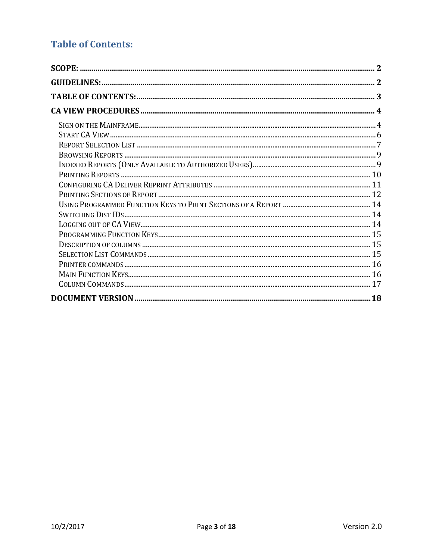# <span id="page-2-0"></span>**Table of Contents:**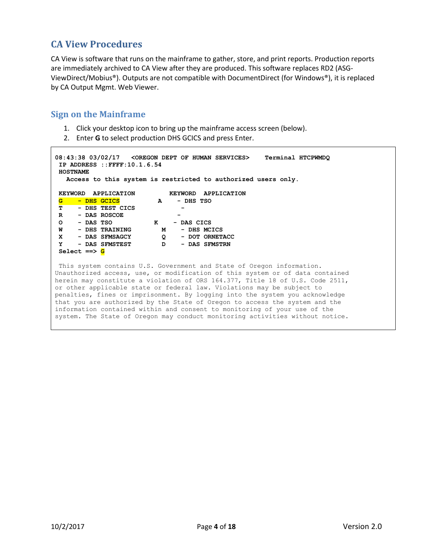## <span id="page-3-0"></span>**CA View Procedures**

CA View is software that runs on the mainframe to gather, store, and print reports. Production reports are immediately archived to CA View after they are produced. This software replaces RD2 (ASG-ViewDirect/Mobius®). Outputs are not compatible with DocumentDirect (for Windows®), it is replaced by CA Output Mgmt. Web Viewer.

#### <span id="page-3-1"></span>**Sign on the Mainframe**

- 1. Click your desktop icon to bring up the mainframe access screen (below).
- 2. Enter **G** to select production DHS GCICS and press Enter.

```
08:43:38 03/02/17 <OREGON DEPT OF HUMAN SERVICES> Terminal HTCPWMDQ
IP ADDRESS ::FFFF:10.1.6.54
HOSTNAME
   Access to this system is restricted to authorized users only.
 KEYWORD APPLICATION KEYWORD APPLICATION
 G - DHS GCICS A - DHS TSO
 T - DHS TEST CICS -
R - DAS ROSCOE -
O - DAS TSO K - DAS CICS
 W - DHS TRAINING M - DHS MCICS
 X - DAS SFMSAGCY Q - DOT ORNETACC
 Y - DAS SFMSTEST D - DAS SFMSTRN
Select ==> G
This system contains U.S. Government and State of Oregon information.
Unauthorized access, use, or modification of this system or of data contained
herein may constitute a violation of ORS 164.377, Title 18 of U.S. Code 2511,
or other applicable state or federal law. Violations may be subject to
penalties, fines or imprisonment. By logging into the system you acknowledge
that you are authorized by the State of Oregon to access the system and the
information contained within and consent to monitoring of your use of the
system. The State of Oregon may conduct monitoring activities without notice.
```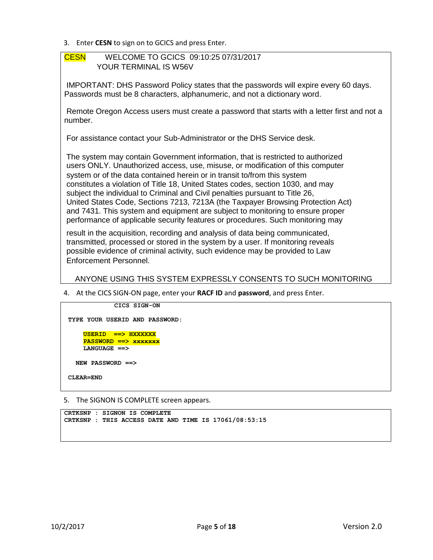3. Enter **CESN** to sign on to GCICS and press Enter.

#### CESN WELCOME TO GCICS 09:10:25 07/31/2017 YOUR TERMINAL IS W56V

IMPORTANT: DHS Password Policy states that the passwords will expire every 60 days. Passwords must be 8 characters, alphanumeric, and not a dictionary word.

Remote Oregon Access users must create a password that starts with a letter first and not a number.

For assistance contact your Sub-Administrator or the DHS Service desk.

The system may contain Government information, that is restricted to authorized users ONLY. Unauthorized access, use, misuse, or modification of this computer system or of the data contained herein or in transit to/from this system constitutes a violation of Title 18, United States codes, section 1030, and may subject the individual to Criminal and Civil penalties pursuant to Title 26, United States Code, Sections 7213, 7213A (the Taxpayer Browsing Protection Act) and 7431. This system and equipment are subject to monitoring to ensure proper performance of applicable security features or procedures. Such monitoring may

result in the acquisition, recording and analysis of data being communicated, transmitted, processed or stored in the system by a user. If monitoring reveals possible evidence of criminal activity, such evidence may be provided to Law Enforcement Personnel.

ANYONE USING THIS SYSTEM EXPRESSLY CONSENTS TO SUCH MONITORING

4. At the CICS SIGN-ON page, enter your **RACF ID** and **password**, and press Enter.

```
 CICS SIGN-ON
TYPE YOUR USERID AND PASSWORD:
     USERID ==> HXXXXXX
    PASSWORD ==> xxxxxxx
    LANGUAGE ==>
  NEW PASSWORD ==>
CLEAR=END
```
5. The SIGNON IS COMPLETE screen appears.

```
CRTKSNP : SIGNON IS COMPLETE
CRTKSNP : THIS ACCESS DATE AND TIME IS 17061/08:53:15
```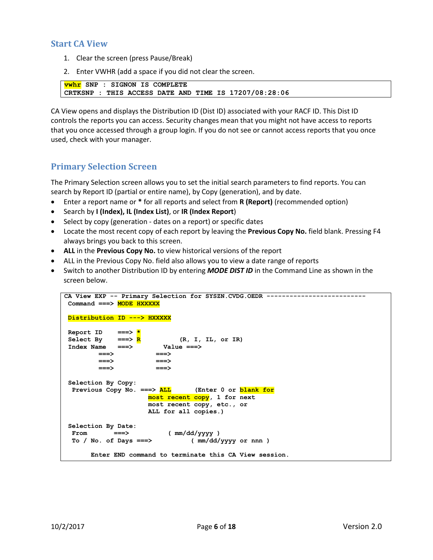## <span id="page-5-0"></span>**Start CA View**

- 1. Clear the screen (press Pause/Break)
- 2. Enter VWHR (add a space if you did not clear the screen.

```
vwhr SNP : SIGNON IS COMPLETE
CRTKSNP : THIS ACCESS DATE AND TIME IS 17207/08:28:06
```
CA View opens and displays the Distribution ID (Dist ID) associated with your RACF ID. This Dist ID controls the reports you can access. Security changes mean that you might not have access to reports that you once accessed through a group login. If you do not see or cannot access reports that you once used, check with your manager.

### **Primary Selection Screen**

The Primary Selection screen allows you to set the initial search parameters to find reports. You can search by Report ID (partial or entire name), by Copy (generation), and by date.

- Enter a report name or **\*** for all reports and select from **R (Report)** (recommended option)
- Search by **I (Index), IL (Index List)**, or **IR (Index Report**)
- Select by copy (generation dates on a report) or specific dates
- Locate the most recent copy of each report by leaving the **Previous Copy No.** field blank. Pressing F4 always brings you back to this screen.
- **ALL** in the **Previous Copy No.** to view historical versions of the report
- ALL in the Previous Copy No. field also allows you to view a date range of reports
- Switch to another Distribution ID by entering *MODE DIST ID* in the Command Line as shown in the screen below.

| CA View EXP -- Primary Selection for SYSZN.CVDG.OEDR -----  |
|-------------------------------------------------------------|
|                                                             |
| Command ===> MODE HXXXXX                                    |
|                                                             |
| Distribution ID ---> HXXXXX                                 |
|                                                             |
| Report ID ===> $\star$                                      |
| Select By $==> R$ (R, I, IL, or IR)                         |
| $Index Name \n==\n> \nValue \n==\n>$                        |
| $\Rightarrow$                                               |
|                                                             |
|                                                             |
|                                                             |
| Selection By Copy:                                          |
| Previous Copy No. $==>$ ALL (Enter 0 or blank for           |
| most recent copy, 1 for next                                |
| most recent copy, etc., or                                  |
| ALL for all copies.)                                        |
|                                                             |
| Selection By Date:                                          |
| From $==>$ (mm/dd/yyyy)                                     |
| To / No. of Days ===> $\qquad \qquad$ ( mm/dd/yyyy or nnn ) |
|                                                             |
| Enter END command to terminate this CA View session.        |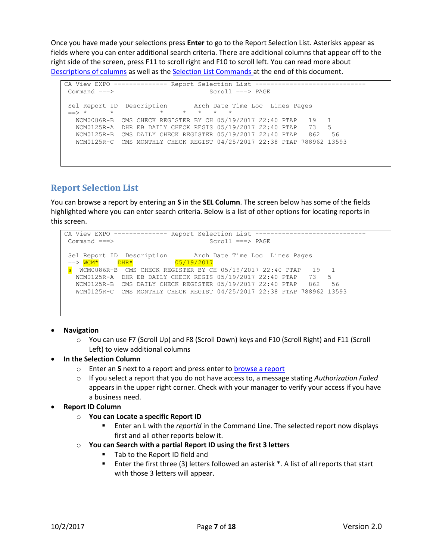Once you have made your selections press **Enter** to go to the Report Selection List. Asterisks appear as fields where you can enter additional search criteria. There are additional columns that appear off to the right side of the screen, press F11 to scroll right and F10 to scroll left. You can read more about [Descriptions](#page-14-3) of columns as well as the [Selection List Commands](#page-17-1) at the end of this document.

```
CA View EXPO ------------- Report Selection List ------------------------------
Command ===> Scroll ===> PAGE 
                            Arch Date Time Loc Lines Pages
Sel Report ID Description Arch Date<br>==> * * * * * * * * *
   WCM0086R-B CMS CHECK REGISTER BY CH 05/19/2017 22:40 PTAP 19 1
   WCM0125R-A DHR EB DAILY CHECK REGIS 05/19/2017 22:40 PTAP 73 5
   WCM0125R-B CMS DAILY CHECK REGISTER 05/19/2017 22:40 PTAP 862 56
   WCM0125R-C CMS MONTHLY CHECK REGIST 04/25/2017 22:38 PTAP 788962 13593
```
## <span id="page-6-0"></span>**Report Selection List**

You can browse a report by entering an **S** in the **SEL Column**. The screen below has some of the fields highlighted where you can enter search criteria. Below is a list of other options for locating reports in this screen.

```
CA View EXPO -------------- Report Selection List -----------------------------
 Command ===> Scroll ===> PAGE 
Sel Report ID Description Arch Date Time Loc Lines Pages
 = > \sqrt{WCM*} DHR* 05/19/2017
 s WCM0086R-B CMS CHECK REGISTER BY CH 05/19/2017 22:40 PTAP 19 1
   WCM0125R-A DHR EB DAILY CHECK REGIS 05/19/2017 22:40 PTAP 73 5
   WCM0125R-B CMS DAILY CHECK REGISTER 05/19/2017 22:40 PTAP 862 56
   WCM0125R-C CMS MONTHLY CHECK REGIST 04/25/2017 22:38 PTAP 788962 13593
```
- **Navigation**
	- o You can use F7 (Scroll Up) and F8 (Scroll Down) keys and F10 (Scroll Right) and F11 (Scroll Left) to view additional columns
- **In the Selection Column**
	- o Enter an **S** next to a report and press enter to [browse a report](#page-8-1)
	- o If you select a report that you do not have access to, a message stating *Authorization Failed* appears in the upper right corner. Check with your manager to verify your access if you have a business need.
- **Report ID Column**
	- o **You can Locate a specific Report ID** 
		- Enter an L with the *reportid* in the Command Line. The selected report now displays first and all other reports below it.
	- o **You can Search with a partial Report ID using the first 3 letters**
		- Tab to the Report ID field and
		- Enter the first three (3) letters followed an asterisk \*. A list of all reports that start with those 3 letters will appear.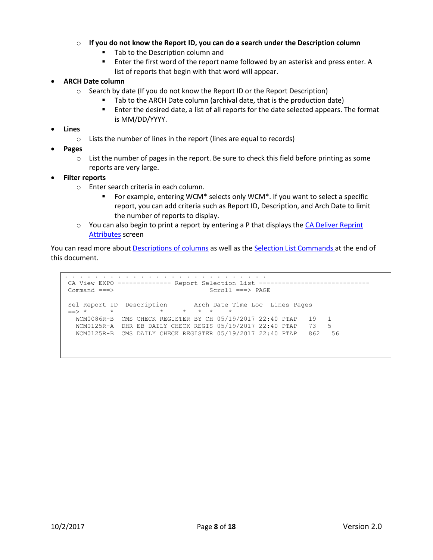#### o **If you do not know the Report ID, you can do a search under the Description column**

- Tab to the Description column and
- Enter the first word of the report name followed by an asterisk and press enter. A list of reports that begin with that word will appear.

#### **ARCH Date column**

- $\circ$  Search by date (If you do not know the Report ID or the Report Description)
	- Tab to the ARCH Date column (archival date, that is the production date)
	- Enter the desired date, a list of all reports for the date selected appears. The format is MM/DD/YYYY.

#### **Lines**

- o Lists the number of lines in the report (lines are equal to records)
- **Pages**
	- $\circ$  List the number of pages in the report. Be sure to check this field before printing as some reports are very large.

#### **Filter reports**

- o Enter search criteria in each column.
	- For example, entering WCM\* selects only WCM\*. If you want to select a specific report, you can add criteria such as Report ID, Description, and Arch Date to limit the number of reports to display.
- $\circ$  You can also begin to print a report by entering a P that displays the [CA Deliver](#page-9-0) Reprint [Attributes](#page-9-0) screen

You can read more abou[t Descriptions](#page-14-3) of columns as well as th[e Selection List Commands](#page-17-1) at the end of this document.

. . . . . . . . . . . . . . . . . . . . . . . . . . . CA View EXPO ------------- Report Selection List ------------------------------Command ===> Scroll ===> PAGE Sel Report ID Description Arch Date Time Loc Lines Pages ==> \* \* \* \* \* \* \* WCM0086R-B CMS CHECK REGISTER BY CH 05/19/2017 22:40 PTAP 19 1 WCM0125R-A DHR EB DAILY CHECK REGIS 05/19/2017 22:40 PTAP 73 5 WCM0125R-B CMS DAILY CHECK REGISTER 05/19/2017 22:40 PTAP 862 56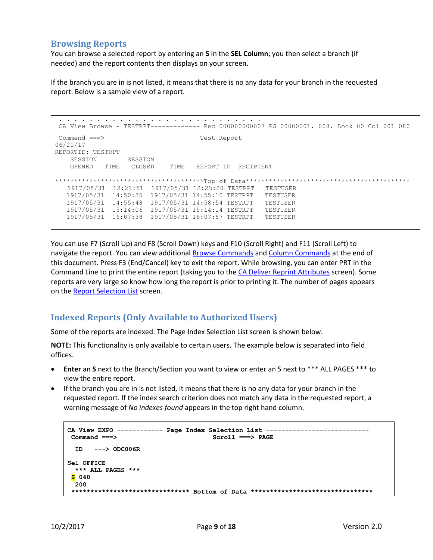## <span id="page-8-0"></span>**Browsing Reports**

You can browse a selected report by entering an **S** in the **SEL Column**; you then select a branch (if needed) and the report contents then displays on your screen.

If the branch you are in is not listed, it means that there is no any data for your branch in the requested report. Below is a sample view of a report.

```
. . . . . . . . . . . . . . . . . . . . . . . . . . .
CA View Browse - TESTRPT------------- Rec 000000000007 PG 00000001. 008. Lock 00 Col 001 080
Command ===> Test Report
06/20/17
REPORTID: TESTRPT 
   SESSION SESSION
OPENED TIME CLOSED TIME REPORT ID RECIPIENT
***************************************Top of Data*******************************************
   1917/05/31 12:21:51 1917/05/31 12:23:20 TESTRPT TESTUSER
   1917/05/31 14:50:35 1917/05/31 14:55:10 TESTRPT TESTUSER
   1917/05/31 14:55:48 1917/05/31 14:58:54 TESTRPT TESTUSER
   1917/05/31 15:14:06 1917/05/31 15:14:14 TESTRPT TESTUSER
   1917/05/31 16:07:38 1917/05/31 16:07:57 TESTRPT TESTUSER
```
You can use F7 (Scroll Up) and F8 (Scroll Down) keys and F10 (Scroll Right) and F11 (Scroll Left) to navigate the report. You can view additional [Browse Commands](#page-17-1) and Column Commands at the end of this document. Press F3 (End/Cancel) key to exit the report. While browsing, you can enter PRT in the Command Line to print the entire report (taking you to the [CA Deliver Reprint Attributes](#page-9-0) screen). Some reports are very large so know how long the report is prior to printing it. The number of pages appears on th[e Report Selection List](#page-6-0) screen.

## <span id="page-8-1"></span>**Indexed Reports (Only Available to Authorized Users)**

Some of the reports are indexed. The Page Index Selection List screen is shown below.

**NOTE:** This functionality is only available to certain users. The example below is separated into field offices.

- **Enter** an **S** next to the Branch/Section you want to view or enter an S next to \*\*\* ALL PAGES \*\*\* to view the entire report.
- If the branch you are in is not listed, it means that there is no any data for your branch in the requested report. If the index search criterion does not match any data in the requested report, a warning message of *No indexes found* appears in the top right hand column.

```
CA View EXPO ------------ Page Index Selection List ---------------------------
Command ===> Scroll ===> PAGE
 ID ---> ODC006R
Sel OFFICE
  *** ALL PAGES ***
S 040
  200
 ******************************* Bottom of Data ********************************
```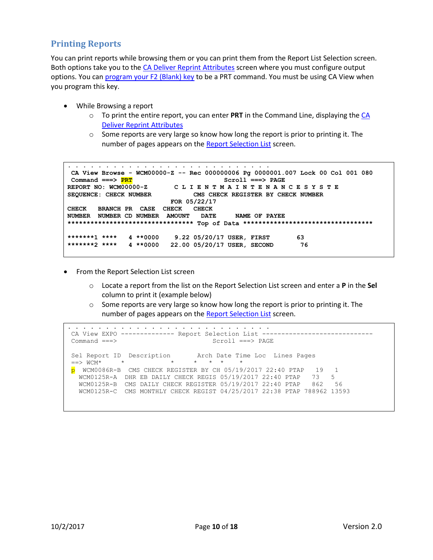## <span id="page-9-0"></span>**Printing Reports**

You can print reports while browsing them or you can print them from the Report List Selection screen. Both options take you to the [CA Deliver Reprint Attributes](#page-10-0) screen where you must configure output options. You ca[n program your F2 \(Blank\) key](#page-15-2) to be a PRT command. You must be using CA View when you program this key.

- While Browsing a report
	- o To print the entire report, you can enter **PRT** in the Command Line, displaying the [CA](#page-9-0)  [Deliver Reprint Attributes](#page-9-0)
	- $\circ$  Some reports are very large so know how long the report is prior to printing it. The number of pages appears on th[e Report Selection List](#page-6-0) screen.

```
a caracteristic construction of the contract of the contract of the contract of the contract of the contract of
CA View Browse - WCM00000-Z -- Rec 000000006 Pg 0000001.007 Lock 00 Col 001 080
 Command ===> PRT Scroll ===> PAGE 
REPORT NO: WCM00000-Z C L I E N T M A I N T E N A N C E S Y S T E
SEQUENCE: CHECK NUMBER CMS CHECK REGISTER BY CHECK NUMBER
 FOR 05/22/17 
CHECK BRANCH PR CASE CHECK CHECK 
NUMBER NUMBER CD NUMBER AMOUNT DATE NAME OF PAYEE 
********************************* Top of Data **********************************
*******1 **** 4 **0000 9.22 05/20/17 USER, FIRST 63
*******2 **** 4 **0000 22.00 05/20/17 USER, SECOND 76
```
- From the Report Selection List screen
	- o Locate a report from the list on the Report Selection List screen and enter a **P** in the **Sel** column to print it (example below)
	- $\circ$  Some reports are very large so know how long the report is prior to printing it. The number of pages appears on th[e Report Selection List](#page-6-0) screen.

```
. . . . . . . . . . . . . . . . . . . . . . . . . . .
CA View EXPO -------------- Report Selection List -----------------------------
Command ===> Scroll ===> PAGE 
Sel Report ID Description Arch Date Time Loc Lines Pages
==> WCM*  *  * * * * * * *
p WCM0086R-B CMS CHECK REGISTER BY CH 05/19/2017 22:40 PTAP 19 1
 WCM0125R-A DHR EB DAILY CHECK REGIS 05/19/2017 22:40 PTAP 73 5
 WCM0125R-B CMS DAILY CHECK REGISTER 05/19/2017 22:40 PTAP 862 56
   WCM0125R-C CMS MONTHLY CHECK REGIST 04/25/2017 22:38 PTAP 788962 13593
```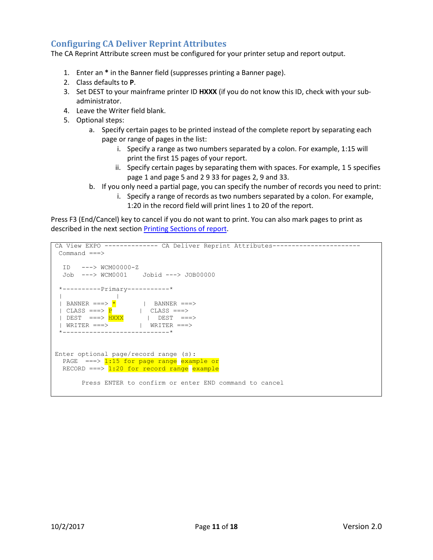## <span id="page-10-0"></span>**Configuring CA Deliver Reprint Attributes**

The CA Reprint Attribute screen must be configured for your printer setup and report output.

- 1. Enter an **\*** in the Banner field (suppresses printing a Banner page).
- 2. Class defaults to **P**.
- 3. Set DEST to your mainframe printer ID **HXXX** (if you do not know this ID, check with your subadministrator.
- 4. Leave the Writer field blank.
- 5. Optional steps:
	- a. Specify certain pages to be printed instead of the complete report by separating each page or range of pages in the list:
		- i. Specify a range as two numbers separated by a colon. For example, 1:15 will print the first 15 pages of your report.
		- ii. Specify certain pages by separating them with spaces. For example, 1 5 specifies page 1 and page 5 and 2 9 33 for pages 2, 9 and 33.
	- b. If you only need a partial page, you can specify the number of records you need to print:
		- i. Specify a range of records as two numbers separated by a colon. For example, 1:20 in the record field will print lines 1 to 20 of the report.

Press F3 (End/Cancel) key to cancel if you do not want to print. You can also mark pages to print as described in the next section [Printing Sections of report.](#page-11-0)

```
CA View EXPO -------------- CA Deliver Reprint Attributes-----------------------
Command ===> 
 ID ---> WCM00000-Z 
 Job ---> WCM0001 Jobid ---> JOB00000 
 *----------Primary-----------* 
 | |
 | BANNER ===> \star | BANNER ===>
 | CLASS ===> \frac{P}{P} | CLASS ===>
 | DEST ===> HXXX | DEST ===>
 | WRITER ===> | WRITER ===>
 *----------------------------* 
Enter optional page/record range (s):
 PAGE ===> 1:15 for page range example or
 RECORD ===> 1:20 for record range example
       Press ENTER to confirm or enter END command to cancel
```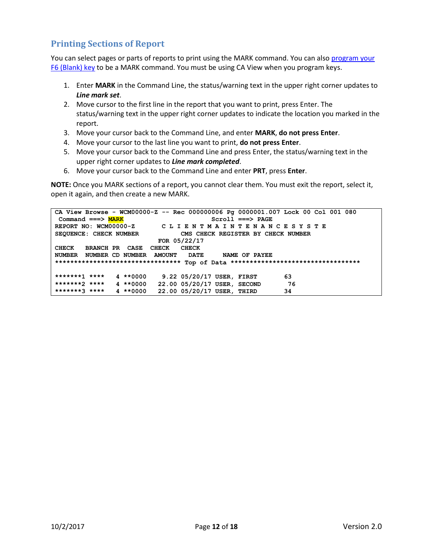## <span id="page-11-0"></span>**Printing Sections of Report**

You can select pages or parts of reports to print using the MARK command. You can also program your [F6 \(Blank\) key](#page-15-2) to be a MARK command. You must be using CA View when you program keys.

- 1. Enter **MARK** in the Command Line, the status/warning text in the upper right corner updates to *Line mark set*.
- 2. Move cursor to the first line in the report that you want to print, press Enter. The status/warning text in the upper right corner updates to indicate the location you marked in the report.
- 3. Move your cursor back to the Command Line, and enter **MARK**, **do not press Enter**.
- 4. Move your cursor to the last line you want to print, **do not press Enter**.
- 5. Move your cursor back to the Command Line and press Enter, the status/warning text in the upper right corner updates to *Line mark completed*.
- 6. Move your cursor back to the Command Line and enter **PRT**, press **Enter**.

**NOTE:** Once you MARK sections of a report, you cannot clear them. You must exit the report, select it, open it again, and then create a new MARK.

**CA View Browse - WCM00000-Z -- Rec 000000006 Pg 0000001.007 Lock 00 Col 001 080** Command ===> **MARK** Scroll ===> PAGE **REPORT NO: WCM00000-Z C L I E N T M A I N T E N A N C E S Y S T E SEQUENCE: CHECK NUMBER CMS CHECK REGISTER BY CHECK NUMBER FOR 05/22/17 CHECK BRANCH PR CASE CHECK CHECK NUMBER NUMBER CD NUMBER AMOUNT DATE NAME OF PAYEE \*\*\*\*\*\*\*\*\*\*\*\*\*\*\*\*\*\*\*\*\*\*\*\*\*\*\*\*\*\*\*\*\* Top of Data \*\*\*\*\*\*\*\*\*\*\*\*\*\*\*\*\*\*\*\*\*\*\*\*\*\*\*\*\*\*\*\*\*\* \*\*\*\*\*\*\*1 \*\*\*\* 4 \*\*0000 9.22 05/20/17 USER, FIRST 63 \*\*\*\*\*\*\*2 \*\*\*\* 4 \*\*0000 22.00 05/20/17 USER, SECOND 76 \*\*\*\*\*\*\*3 \*\*\*\* 4 \*\*0000 22.00 05/20/17 USER, THIRD 34**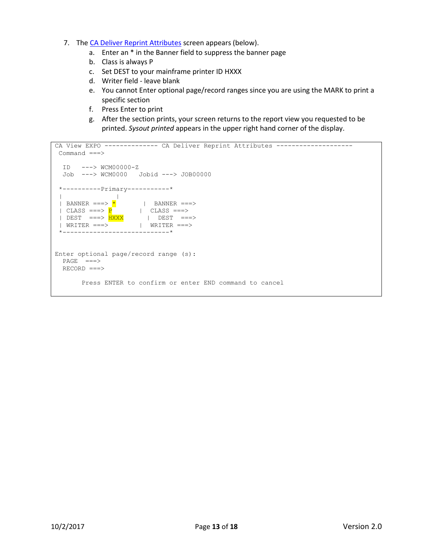- 7. The [CA Deliver Reprint Attributes](#page-10-0) screen appears (below).
	- a. Enter an \* in the Banner field to suppress the banner page
	- b. Class is always P
	- c. Set DEST to your mainframe printer ID HXXX
	- d. Writer field leave blank
	- e. You cannot Enter optional page/record ranges since you are using the MARK to print a specific section
	- f. Press Enter to print
	- g. After the section prints, your screen returns to the report view you requested to be printed. *Sysout printed* appears in the upper right hand corner of the display.

```
CA View EXPO -------------- CA Deliver Reprint Attributes --------------------
Command ===> 
 ID ---> WCM00000-Z 
 Job ---> WCM0000 Jobid ---> JOB00000 
 *----------Primary-----------* 
 | |
 | BANNER ===> \star | BANNER ===>
 | CLASS ===> \frac{P}{P} | CLASS ===>
 | DEST ===> HXXX | DEST ===>
 | WRITER ===> | WRITER ===>
*----------------------------* 
Enter optional page/record range (s):
 PAGE ===>
 RECORD ===>
       Press ENTER to confirm or enter END command to cancel
```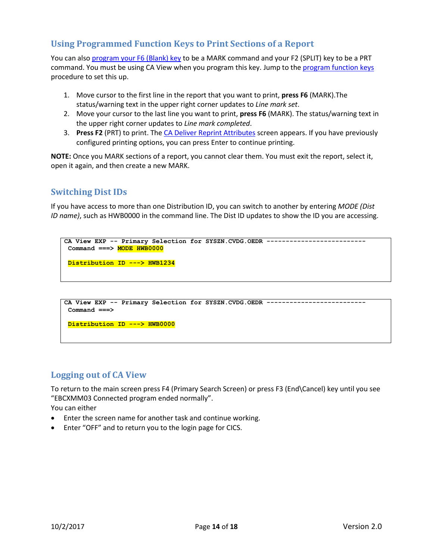## <span id="page-13-0"></span>**Using Programmed Function Keys to Print Sections of a Report**

You can also [program your F6 \(Blank\) key](#page-15-2) to be a MARK command and your F2 (SPLIT) key to be a PRT command. You must be using CA View when you program this key. Jump to th[e program function keys](#page-15-2) procedure to set this up.

- 1. Move cursor to the first line in the report that you want to print, **press F6** (MARK).The status/warning text in the upper right corner updates to *Line mark set*.
- 2. Move your cursor to the last line you want to print, **press F6** (MARK). The status/warning text in the upper right corner updates to *Line mark completed*.
- 3. **Press F2** (PRT) to print. The [CA Deliver Reprint Attributes](#page-10-0) screen appears. If you have previously configured printing options, you can press Enter to continue printing.

**NOTE:** Once you MARK sections of a report, you cannot clear them. You must exit the report, select it, open it again, and then create a new MARK.

## <span id="page-13-1"></span>**Switching Dist IDs**

If you have access to more than one Distribution ID, you can switch to another by entering *MODE (Dist ID name)*, such as HWB0000 in the command line. The Dist ID updates to show the ID you are accessing.

```
CA View EXP -- Primary Selection for SYSZN.CVDG.OEDR --------------------------
 Command ===> MODE HWB0000
Distribution ID ---> HWB1234
```

```
CA View EXP -- Primary Selection for SYSZN.CVDG.OEDR --------------------------
 Command ===>
```
**Distribution ID ---> HWB0000**

### <span id="page-13-2"></span>**Logging out of CA View**

To return to the main screen press F4 (Primary Search Screen) or press F3 (End\Cancel) key until you see "EBCXMM03 Connected program ended normally".

You can either

- Enter the screen name for another task and continue working.
- Enter "OFF" and to return you to the login page for CICS.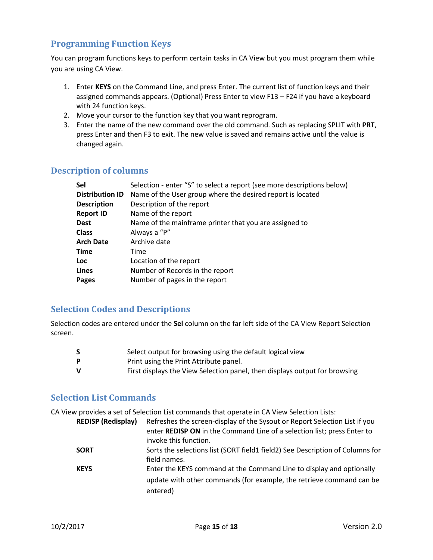## <span id="page-14-0"></span>**Programming Function Keys**

You can program functions keys to perform certain tasks in CA View but you must program them while you are using CA View.

- 1. Enter **KEYS** on the Command Line, and press Enter. The current list of function keys and their assigned commands appears. (Optional) Press Enter to view F13 – F24 if you have a keyboard with 24 function keys.
- 2. Move your cursor to the function key that you want reprogram.
- 3. Enter the name of the new command over the old command. Such as replacing SPLIT with **PRT**, press Enter and then F3 to exit. The new value is saved and remains active until the value is changed again.

### <span id="page-14-1"></span>**Description of columns**

| Sel                    | Selection - enter "S" to select a report (see more descriptions below) |  |  |  |
|------------------------|------------------------------------------------------------------------|--|--|--|
| <b>Distribution ID</b> | Name of the User group where the desired report is located             |  |  |  |
| <b>Description</b>     | Description of the report                                              |  |  |  |
| <b>Report ID</b>       | Name of the report                                                     |  |  |  |
| <b>Dest</b>            | Name of the mainframe printer that you are assigned to                 |  |  |  |
| <b>Class</b>           | Always a "P"                                                           |  |  |  |
| <b>Arch Date</b>       | Archive date                                                           |  |  |  |
| Time                   | Time                                                                   |  |  |  |
| <b>Loc</b>             | Location of the report                                                 |  |  |  |
| Lines                  | Number of Records in the report                                        |  |  |  |
| Pages                  | Number of pages in the report                                          |  |  |  |
|                        |                                                                        |  |  |  |

### <span id="page-14-3"></span>**Selection Codes and Descriptions**

Selection codes are entered under the **Sel** column on the far left side of the CA View Report Selection screen.

|   | Select output for browsing using the default logical view                  |
|---|----------------------------------------------------------------------------|
| D | Print using the Print Attribute panel.                                     |
| v | First displays the View Selection panel, then displays output for browsing |

## <span id="page-14-2"></span>**Selection List Commands**

CA View provides a set of Selection List commands that operate in CA View Selection Lists:

| <b>REDISP (Redisplay)</b> | Refreshes the screen-display of the Sysout or Report Selection List if you<br>enter <b>REDISP ON</b> in the Command Line of a selection list; press Enter to<br>invoke this function. |
|---------------------------|---------------------------------------------------------------------------------------------------------------------------------------------------------------------------------------|
| <b>SORT</b>               | Sorts the selections list (SORT field1 field2) See Description of Columns for<br>field names.                                                                                         |
| <b>KEYS</b>               | Enter the KEYS command at the Command Line to display and optionally<br>update with other commands (for example, the retrieve command can be<br>entered)                              |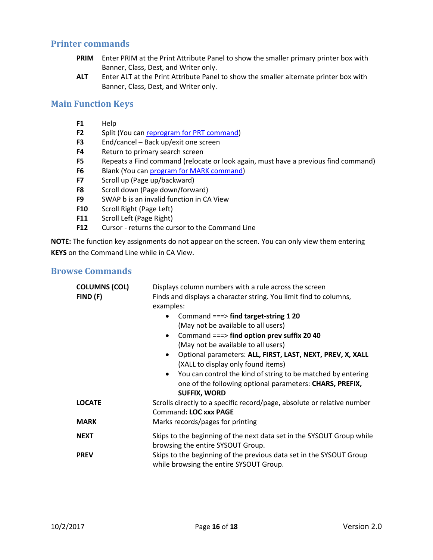#### <span id="page-15-0"></span>**Printer commands**

- **PRIM** Enter PRIM at the Print Attribute Panel to show the smaller primary printer box with Banner, Class, Dest, and Writer only.
- **ALT** Enter ALT at the Print Attribute Panel to show the smaller alternate printer box with Banner, Class, Dest, and Writer only.

#### <span id="page-15-1"></span>**Main Function Keys**

- **F1** Help
- **F2** Split (You can [reprogram for PRT command\)](#page-15-2)
- **F3** End/cancel Back up/exit one screen
- **F4** Return to primary search screen
- **F5** Repeats a Find command (relocate or look again, must have a previous find command)
- **F6** Blank (You can [program for MARK command\)](#page-15-2)
- **F7** Scroll up (Page up/backward)
- **F8** Scroll down (Page down/forward)
- **F9** SWAP b is an invalid function in CA View
- **F10** Scroll Right (Page Left)
- **F11** Scroll Left (Page Right)
- **F12** Cursor returns the cursor to the Command Line

**NOTE:** The function key assignments do not appear on the screen. You can only view them entering **KEYS** on the Command Line while in CA View.

#### <span id="page-15-2"></span>**Browse Commands**

| <b>COLUMNS (COL)</b><br>FIND(F) | Displays column numbers with a rule across the screen<br>Finds and displays a character string. You limit find to columns,                      |  |  |
|---------------------------------|-------------------------------------------------------------------------------------------------------------------------------------------------|--|--|
|                                 | examples:                                                                                                                                       |  |  |
|                                 | Command ===> find target-string 1 20                                                                                                            |  |  |
|                                 | (May not be available to all users)                                                                                                             |  |  |
|                                 | Command $==$ find option prev suffix 20 40                                                                                                      |  |  |
|                                 | (May not be available to all users)                                                                                                             |  |  |
|                                 | Optional parameters: ALL, FIRST, LAST, NEXT, PREV, X, XALL                                                                                      |  |  |
|                                 | (XALL to display only found items)                                                                                                              |  |  |
|                                 | You can control the kind of string to be matched by entering<br>one of the following optional parameters: CHARS, PREFIX,<br><b>SUFFIX, WORD</b> |  |  |
| <b>LOCATE</b>                   | Scrolls directly to a specific record/page, absolute or relative number                                                                         |  |  |
|                                 | Command: LOC xxx PAGE                                                                                                                           |  |  |
| <b>MARK</b>                     | Marks records/pages for printing                                                                                                                |  |  |
| <b>NEXT</b>                     | Skips to the beginning of the next data set in the SYSOUT Group while                                                                           |  |  |
|                                 | browsing the entire SYSOUT Group.                                                                                                               |  |  |
| <b>PREV</b>                     | Skips to the beginning of the previous data set in the SYSOUT Group<br>while browsing the entire SYSOUT Group.                                  |  |  |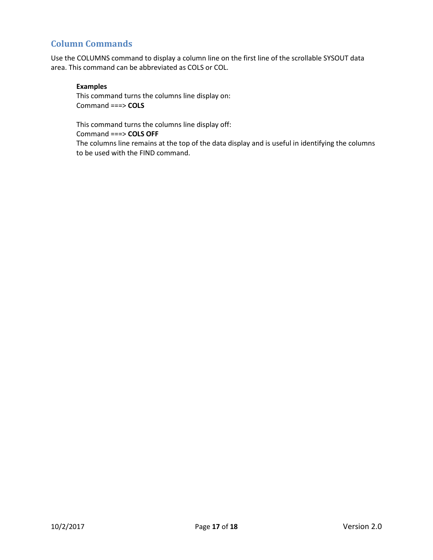## <span id="page-16-0"></span>**Column Commands**

Use the COLUMNS command to display a column line on the first line of the scrollable SYSOUT data area. This command can be abbreviated as COLS or COL.

#### **Examples**

This command turns the columns line display on: Command ===> **COLS** 

This command turns the columns line display off: Command ===> **COLS OFF** 

The columns line remains at the top of the data display and is useful in identifying the columns to be used with the FIND command.